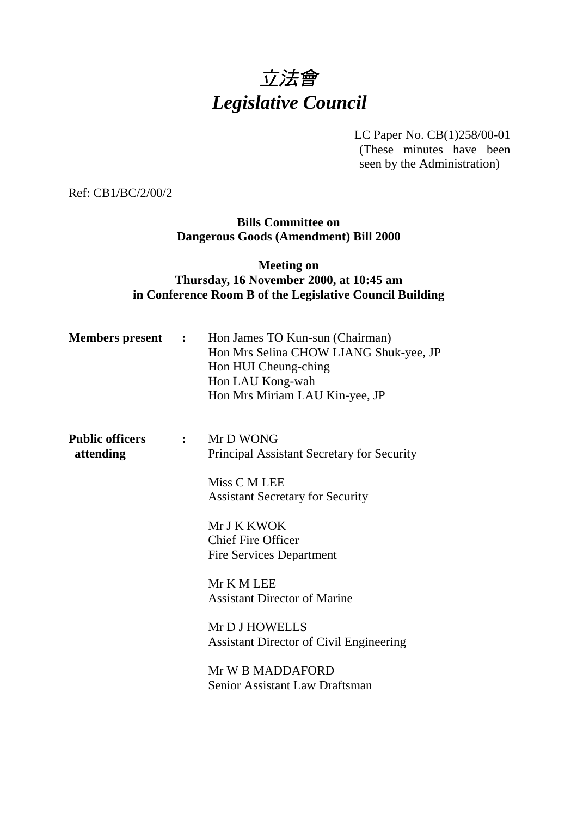# 立法會 *Legislative Council*

LC Paper No. CB(1)258/00-01 (These minutes have been seen by the Administration)

Ref: CB1/BC/2/00/2

### **Bills Committee on Dangerous Goods (Amendment) Bill 2000**

# **Meeting on Thursday, 16 November 2000, at 10:45 am in Conference Room B of the Legislative Council Building**

| <b>Members present :</b>            |                                            | Hon James TO Kun-sun (Chairman)<br>Hon Mrs Selina CHOW LIANG Shuk-yee, JP<br>Hon HUI Cheung-ching<br>Hon LAU Kong-wah<br>Hon Mrs Miriam LAU Kin-yee, JP |
|-------------------------------------|--------------------------------------------|---------------------------------------------------------------------------------------------------------------------------------------------------------|
| <b>Public officers</b><br>attending | $\mathbb{R}^n$ . The set of $\mathbb{R}^n$ | Mr D WONG<br>Principal Assistant Secretary for Security                                                                                                 |
|                                     |                                            | Miss C M LEE<br><b>Assistant Secretary for Security</b>                                                                                                 |
|                                     |                                            | Mr J K KWOK<br><b>Chief Fire Officer</b><br><b>Fire Services Department</b>                                                                             |
|                                     |                                            | Mr K M LEE<br><b>Assistant Director of Marine</b>                                                                                                       |
|                                     |                                            | Mr D J HOWELLS<br><b>Assistant Director of Civil Engineering</b>                                                                                        |
|                                     |                                            | Mr W B MADDAFORD<br><b>Senior Assistant Law Draftsman</b>                                                                                               |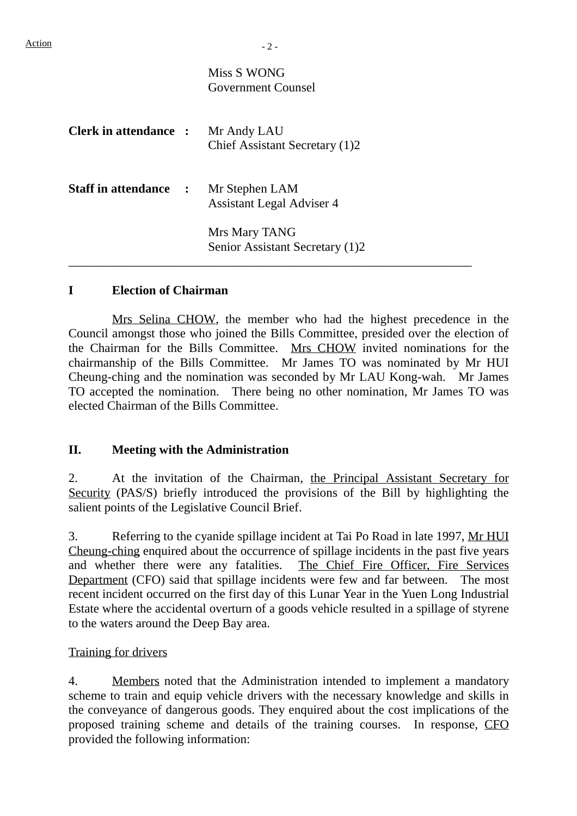# Miss S WONG Government Counsel

| <b>Clerk in attendance :</b> | Mr Andy LAU<br>Chief Assistant Secretary (1)2      |
|------------------------------|----------------------------------------------------|
| <b>Staff in attendance :</b> | Mr Stephen LAM<br><b>Assistant Legal Adviser 4</b> |
|                              | Mrs Mary TANG<br>Senior Assistant Secretary (1)2   |

# **I Election of Chairman**

Mrs Selina CHOW, the member who had the highest precedence in the Council amongst those who joined the Bills Committee, presided over the election of the Chairman for the Bills Committee. Mrs CHOW invited nominations for the chairmanship of the Bills Committee. Mr James TO was nominated by Mr HUI Cheung-ching and the nomination was seconded by Mr LAU Kong-wah. Mr James TO accepted the nomination. There being no other nomination, Mr James TO was elected Chairman of the Bills Committee.

# **II. Meeting with the Administration**

2. At the invitation of the Chairman, the Principal Assistant Secretary for Security (PAS/S) briefly introduced the provisions of the Bill by highlighting the salient points of the Legislative Council Brief.

3. Referring to the cyanide spillage incident at Tai Po Road in late 1997, Mr HUI Cheung-ching enquired about the occurrence of spillage incidents in the past five years and whether there were any fatalities. The Chief Fire Officer, Fire Services Department (CFO) said that spillage incidents were few and far between. The most recent incident occurred on the first day of this Lunar Year in the Yuen Long Industrial Estate where the accidental overturn of a goods vehicle resulted in a spillage of styrene to the waters around the Deep Bay area.

#### Training for drivers

4. Members noted that the Administration intended to implement a mandatory scheme to train and equip vehicle drivers with the necessary knowledge and skills in the conveyance of dangerous goods. They enquired about the cost implications of the proposed training scheme and details of the training courses. In response, CFO provided the following information: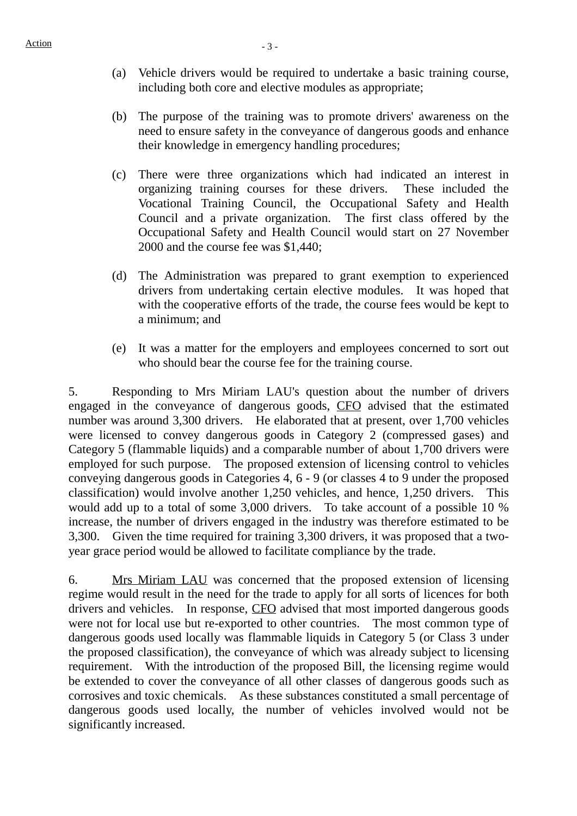- (a) Vehicle drivers would be required to undertake a basic training course, including both core and elective modules as appropriate;
- (b) The purpose of the training was to promote drivers' awareness on the need to ensure safety in the conveyance of dangerous goods and enhance their knowledge in emergency handling procedures;
- (c) There were three organizations which had indicated an interest in organizing training courses for these drivers. These included the Vocational Training Council, the Occupational Safety and Health Council and a private organization. The first class offered by the Occupational Safety and Health Council would start on 27 November 2000 and the course fee was \$1,440;
- (d) The Administration was prepared to grant exemption to experienced drivers from undertaking certain elective modules. It was hoped that with the cooperative efforts of the trade, the course fees would be kept to a minimum; and
- (e) It was a matter for the employers and employees concerned to sort out who should bear the course fee for the training course.

5. Responding to Mrs Miriam LAU's question about the number of drivers engaged in the conveyance of dangerous goods, CFO advised that the estimated number was around 3,300 drivers. He elaborated that at present, over 1,700 vehicles were licensed to convey dangerous goods in Category 2 (compressed gases) and Category 5 (flammable liquids) and a comparable number of about 1,700 drivers were employed for such purpose. The proposed extension of licensing control to vehicles conveying dangerous goods in Categories 4, 6 - 9 (or classes 4 to 9 under the proposed classification) would involve another 1,250 vehicles, and hence, 1,250 drivers. This would add up to a total of some 3,000 drivers. To take account of a possible 10 % increase, the number of drivers engaged in the industry was therefore estimated to be 3,300. Given the time required for training 3,300 drivers, it was proposed that a twoyear grace period would be allowed to facilitate compliance by the trade.

6. Mrs Miriam LAU was concerned that the proposed extension of licensing regime would result in the need for the trade to apply for all sorts of licences for both drivers and vehicles. In response, CFO advised that most imported dangerous goods were not for local use but re-exported to other countries. The most common type of dangerous goods used locally was flammable liquids in Category 5 (or Class 3 under the proposed classification), the conveyance of which was already subject to licensing requirement. With the introduction of the proposed Bill, the licensing regime would be extended to cover the conveyance of all other classes of dangerous goods such as corrosives and toxic chemicals. As these substances constituted a small percentage of dangerous goods used locally, the number of vehicles involved would not be significantly increased.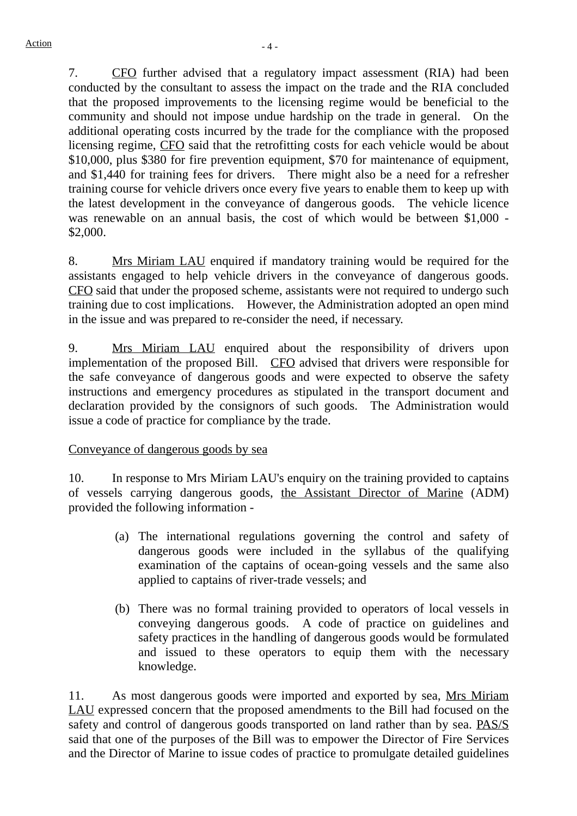7. CFO further advised that a regulatory impact assessment (RIA) had been conducted by the consultant to assess the impact on the trade and the RIA concluded that the proposed improvements to the licensing regime would be beneficial to the community and should not impose undue hardship on the trade in general. On the additional operating costs incurred by the trade for the compliance with the proposed licensing regime, CFO said that the retrofitting costs for each vehicle would be about \$10,000, plus \$380 for fire prevention equipment, \$70 for maintenance of equipment, and \$1,440 for training fees for drivers. There might also be a need for a refresher training course for vehicle drivers once every five years to enable them to keep up with the latest development in the conveyance of dangerous goods. The vehicle licence was renewable on an annual basis, the cost of which would be between \$1,000 - \$2,000.

8. Mrs Miriam LAU enquired if mandatory training would be required for the assistants engaged to help vehicle drivers in the conveyance of dangerous goods. CFO said that under the proposed scheme, assistants were not required to undergo such training due to cost implications. However, the Administration adopted an open mind in the issue and was prepared to re-consider the need, if necessary.

9. Mrs Miriam LAU enquired about the responsibility of drivers upon implementation of the proposed Bill. CFO advised that drivers were responsible for the safe conveyance of dangerous goods and were expected to observe the safety instructions and emergency procedures as stipulated in the transport document and declaration provided by the consignors of such goods. The Administration would issue a code of practice for compliance by the trade.

Conveyance of dangerous goods by sea

10. In response to Mrs Miriam LAU's enquiry on the training provided to captains of vessels carrying dangerous goods, the Assistant Director of Marine (ADM) provided the following information -

- (a) The international regulations governing the control and safety of dangerous goods were included in the syllabus of the qualifying examination of the captains of ocean-going vessels and the same also applied to captains of river-trade vessels; and
- (b) There was no formal training provided to operators of local vessels in conveying dangerous goods. A code of practice on guidelines and safety practices in the handling of dangerous goods would be formulated and issued to these operators to equip them with the necessary knowledge.

11. As most dangerous goods were imported and exported by sea, Mrs Miriam LAU expressed concern that the proposed amendments to the Bill had focused on the safety and control of dangerous goods transported on land rather than by sea. PAS/S said that one of the purposes of the Bill was to empower the Director of Fire Services and the Director of Marine to issue codes of practice to promulgate detailed guidelines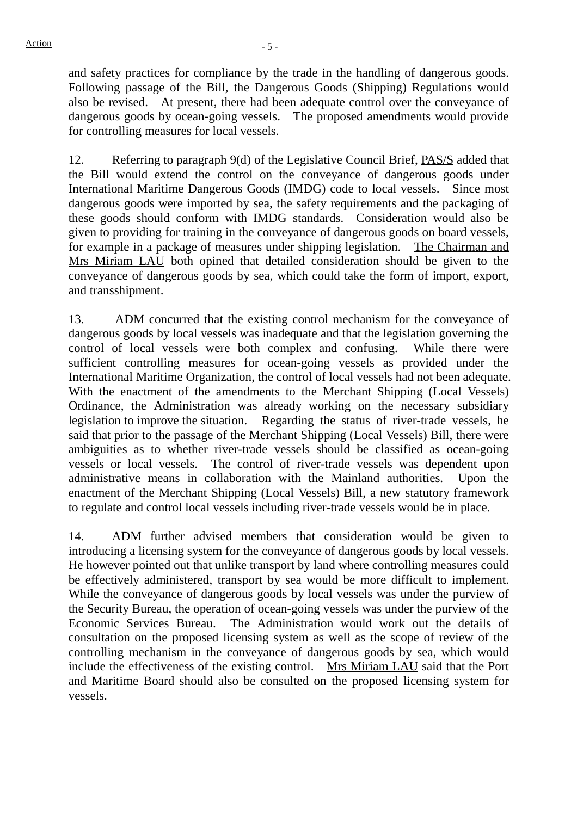and safety practices for compliance by the trade in the handling of dangerous goods. Following passage of the Bill, the Dangerous Goods (Shipping) Regulations would also be revised. At present, there had been adequate control over the conveyance of dangerous goods by ocean-going vessels. The proposed amendments would provide for controlling measures for local vessels.

12. Referring to paragraph 9(d) of the Legislative Council Brief, PAS/S added that the Bill would extend the control on the conveyance of dangerous goods under International Maritime Dangerous Goods (IMDG) code to local vessels. Since most dangerous goods were imported by sea, the safety requirements and the packaging of these goods should conform with IMDG standards. Consideration would also be given to providing for training in the conveyance of dangerous goods on board vessels, for example in a package of measures under shipping legislation. The Chairman and Mrs Miriam LAU both opined that detailed consideration should be given to the conveyance of dangerous goods by sea, which could take the form of import, export, and transshipment.

13. ADM concurred that the existing control mechanism for the conveyance of dangerous goods by local vessels was inadequate and that the legislation governing the control of local vessels were both complex and confusing. While there were sufficient controlling measures for ocean-going vessels as provided under the International Maritime Organization, the control of local vessels had not been adequate. With the enactment of the amendments to the Merchant Shipping (Local Vessels) Ordinance, the Administration was already working on the necessary subsidiary legislation to improve the situation. Regarding the status of river-trade vessels, he said that prior to the passage of the Merchant Shipping (Local Vessels) Bill, there were ambiguities as to whether river-trade vessels should be classified as ocean-going vessels or local vessels. The control of river-trade vessels was dependent upon administrative means in collaboration with the Mainland authorities. Upon the enactment of the Merchant Shipping (Local Vessels) Bill, a new statutory framework to regulate and control local vessels including river-trade vessels would be in place.

14. ADM further advised members that consideration would be given to introducing a licensing system for the conveyance of dangerous goods by local vessels. He however pointed out that unlike transport by land where controlling measures could be effectively administered, transport by sea would be more difficult to implement. While the conveyance of dangerous goods by local vessels was under the purview of the Security Bureau, the operation of ocean-going vessels was under the purview of the Economic Services Bureau. The Administration would work out the details of consultation on the proposed licensing system as well as the scope of review of the controlling mechanism in the conveyance of dangerous goods by sea, which would include the effectiveness of the existing control. Mrs Miriam LAU said that the Port and Maritime Board should also be consulted on the proposed licensing system for vessels.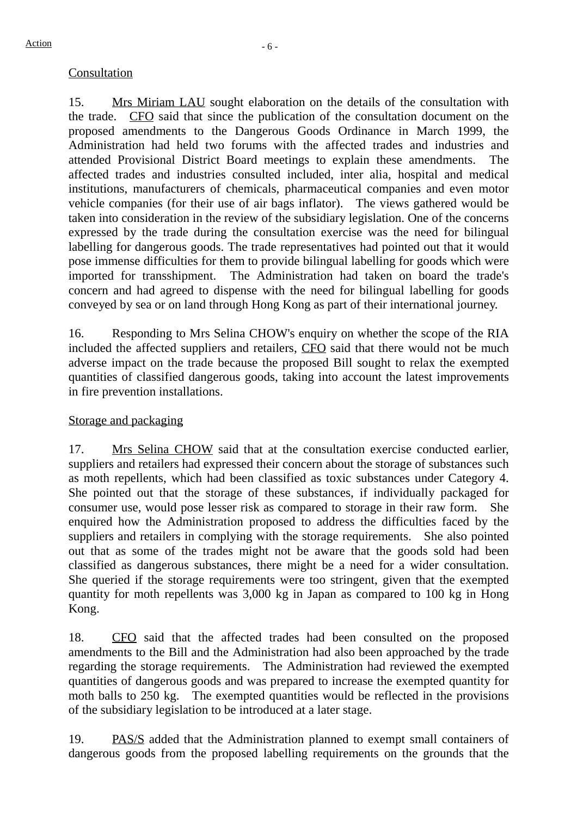# Consultation

15. Mrs Miriam LAU sought elaboration on the details of the consultation with the trade. CFO said that since the publication of the consultation document on the proposed amendments to the Dangerous Goods Ordinance in March 1999, the Administration had held two forums with the affected trades and industries and attended Provisional District Board meetings to explain these amendments. The affected trades and industries consulted included, inter alia, hospital and medical institutions, manufacturers of chemicals, pharmaceutical companies and even motor vehicle companies (for their use of air bags inflator). The views gathered would be taken into consideration in the review of the subsidiary legislation. One of the concerns expressed by the trade during the consultation exercise was the need for bilingual labelling for dangerous goods. The trade representatives had pointed out that it would pose immense difficulties for them to provide bilingual labelling for goods which were imported for transshipment. The Administration had taken on board the trade's concern and had agreed to dispense with the need for bilingual labelling for goods conveyed by sea or on land through Hong Kong as part of their international journey.

16. Responding to Mrs Selina CHOW's enquiry on whether the scope of the RIA included the affected suppliers and retailers, CFO said that there would not be much adverse impact on the trade because the proposed Bill sought to relax the exempted quantities of classified dangerous goods, taking into account the latest improvements in fire prevention installations.

# Storage and packaging

17. Mrs Selina CHOW said that at the consultation exercise conducted earlier, suppliers and retailers had expressed their concern about the storage of substances such as moth repellents, which had been classified as toxic substances under Category 4. She pointed out that the storage of these substances, if individually packaged for consumer use, would pose lesser risk as compared to storage in their raw form. She enquired how the Administration proposed to address the difficulties faced by the suppliers and retailers in complying with the storage requirements. She also pointed out that as some of the trades might not be aware that the goods sold had been classified as dangerous substances, there might be a need for a wider consultation. She queried if the storage requirements were too stringent, given that the exempted quantity for moth repellents was 3,000 kg in Japan as compared to 100 kg in Hong Kong.

18. CFO said that the affected trades had been consulted on the proposed amendments to the Bill and the Administration had also been approached by the trade regarding the storage requirements. The Administration had reviewed the exempted quantities of dangerous goods and was prepared to increase the exempted quantity for moth balls to 250 kg. The exempted quantities would be reflected in the provisions of the subsidiary legislation to be introduced at a later stage.

19. PAS/S added that the Administration planned to exempt small containers of dangerous goods from the proposed labelling requirements on the grounds that the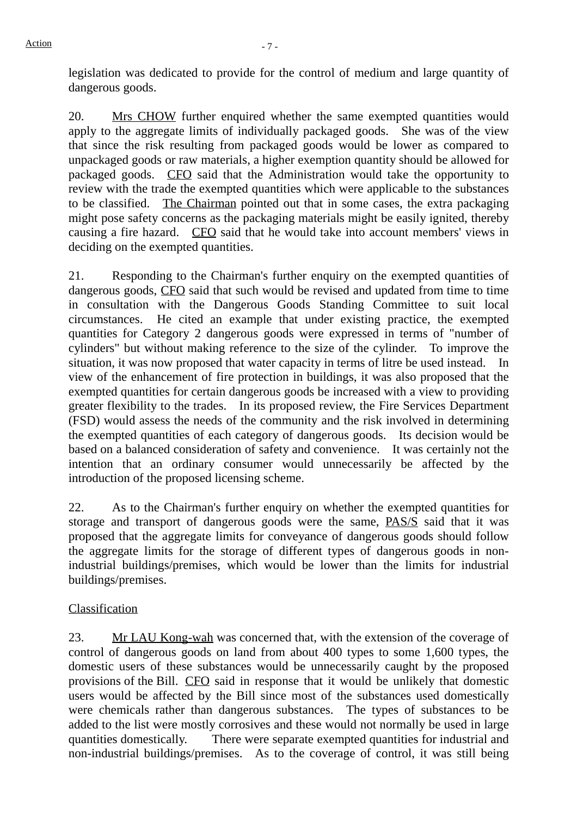legislation was dedicated to provide for the control of medium and large quantity of dangerous goods.

20. Mrs CHOW further enquired whether the same exempted quantities would apply to the aggregate limits of individually packaged goods. She was of the view that since the risk resulting from packaged goods would be lower as compared to unpackaged goods or raw materials, a higher exemption quantity should be allowed for packaged goods. CFO said that the Administration would take the opportunity to review with the trade the exempted quantities which were applicable to the substances to be classified. The Chairman pointed out that in some cases, the extra packaging might pose safety concerns as the packaging materials might be easily ignited, thereby causing a fire hazard. CFO said that he would take into account members' views in deciding on the exempted quantities.

21. Responding to the Chairman's further enquiry on the exempted quantities of dangerous goods, CFO said that such would be revised and updated from time to time in consultation with the Dangerous Goods Standing Committee to suit local circumstances. He cited an example that under existing practice, the exempted quantities for Category 2 dangerous goods were expressed in terms of "number of cylinders" but without making reference to the size of the cylinder. To improve the situation, it was now proposed that water capacity in terms of litre be used instead. In view of the enhancement of fire protection in buildings, it was also proposed that the exempted quantities for certain dangerous goods be increased with a view to providing greater flexibility to the trades. In its proposed review, the Fire Services Department (FSD) would assess the needs of the community and the risk involved in determining the exempted quantities of each category of dangerous goods. Its decision would be based on a balanced consideration of safety and convenience. It was certainly not the intention that an ordinary consumer would unnecessarily be affected by the introduction of the proposed licensing scheme.

22. As to the Chairman's further enquiry on whether the exempted quantities for storage and transport of dangerous goods were the same, PAS/S said that it was proposed that the aggregate limits for conveyance of dangerous goods should follow the aggregate limits for the storage of different types of dangerous goods in nonindustrial buildings/premises, which would be lower than the limits for industrial buildings/premises.

# Classification

23. Mr LAU Kong-wah was concerned that, with the extension of the coverage of control of dangerous goods on land from about 400 types to some 1,600 types, the domestic users of these substances would be unnecessarily caught by the proposed provisions of the Bill. CFO said in response that it would be unlikely that domestic users would be affected by the Bill since most of the substances used domestically were chemicals rather than dangerous substances. The types of substances to be added to the list were mostly corrosives and these would not normally be used in large quantities domestically. There were separate exempted quantities for industrial and non-industrial buildings/premises. As to the coverage of control, it was still being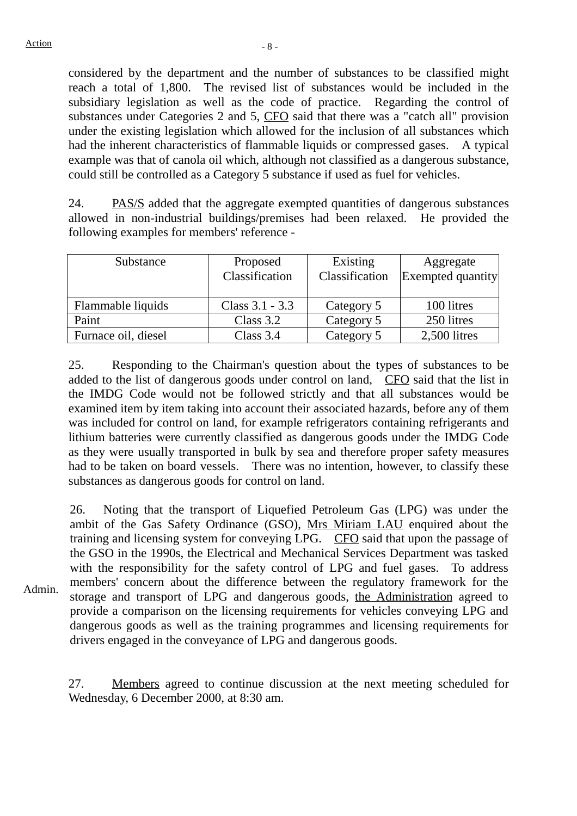considered by the department and the number of substances to be classified might reach a total of 1,800. The revised list of substances would be included in the subsidiary legislation as well as the code of practice. Regarding the control of substances under Categories 2 and 5, CFO said that there was a "catch all" provision under the existing legislation which allowed for the inclusion of all substances which had the inherent characteristics of flammable liquids or compressed gases. A typical example was that of canola oil which, although not classified as a dangerous substance, could still be controlled as a Category 5 substance if used as fuel for vehicles.

24. PAS/S added that the aggregate exempted quantities of dangerous substances allowed in non-industrial buildings/premises had been relaxed. He provided the following examples for members' reference -

| Substance           | Proposed<br>Classification | Existing<br>Classification | Aggregate<br>Exempted quantity |
|---------------------|----------------------------|----------------------------|--------------------------------|
| Flammable liquids   | Class $3.1 - 3.3$          | Category 5                 | 100 litres                     |
| Paint               | Class $3.2$                | Category 5                 | 250 litres                     |
| Furnace oil, diesel | Class $3.4$                | Category 5                 | 2,500 litres                   |

25. Responding to the Chairman's question about the types of substances to be added to the list of dangerous goods under control on land, CFO said that the list in the IMDG Code would not be followed strictly and that all substances would be examined item by item taking into account their associated hazards, before any of them was included for control on land, for example refrigerators containing refrigerants and lithium batteries were currently classified as dangerous goods under the IMDG Code as they were usually transported in bulk by sea and therefore proper safety measures had to be taken on board vessels. There was no intention, however, to classify these substances as dangerous goods for control on land.

Admin. 26. Noting that the transport of Liquefied Petroleum Gas (LPG) was under the ambit of the Gas Safety Ordinance (GSO), Mrs Miriam LAU enquired about the training and licensing system for conveying LPG. CFO said that upon the passage of the GSO in the 1990s, the Electrical and Mechanical Services Department was tasked with the responsibility for the safety control of LPG and fuel gases. To address members' concern about the difference between the regulatory framework for the storage and transport of LPG and dangerous goods, the Administration agreed to provide a comparison on the licensing requirements for vehicles conveying LPG and dangerous goods as well as the training programmes and licensing requirements for drivers engaged in the conveyance of LPG and dangerous goods.

27. Members agreed to continue discussion at the next meeting scheduled for Wednesday, 6 December 2000, at 8:30 am.